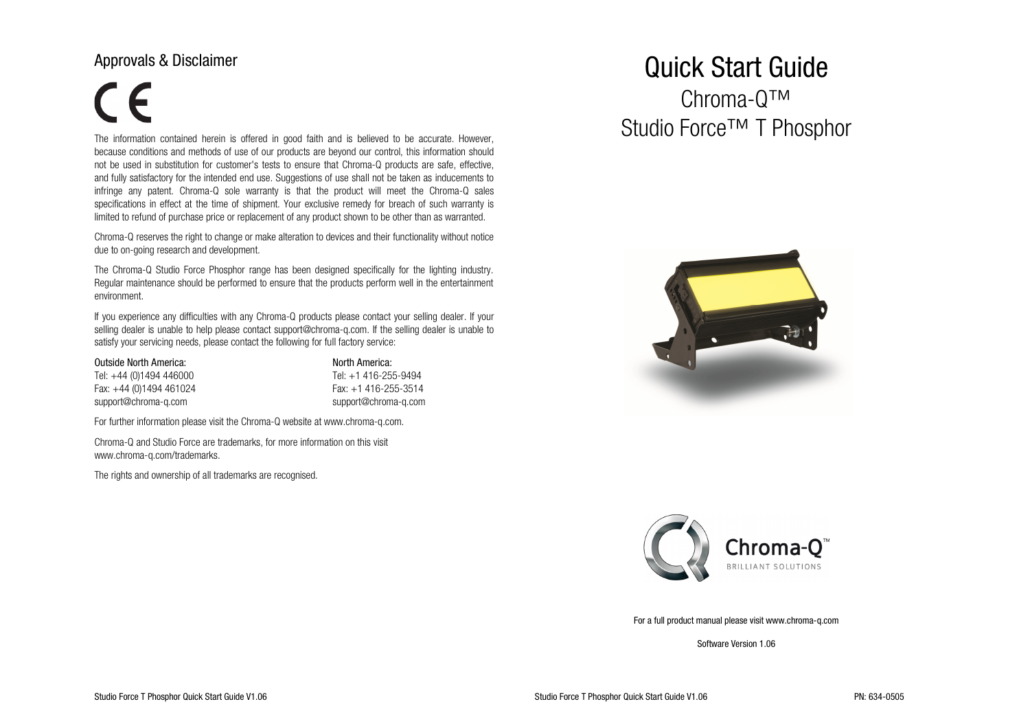#### Approvals & Disclaimer

# $\epsilon$

The information contained herein is offered in good faith and is believed to be accurate. However, because conditions and methods of use of our products are beyond our control, this information should not be used in substitution for customer's tests to ensure that Chroma-Q products are safe, effective,and fully satisfactory for the intended end use. Suggestions of use shall not be taken as inducements to infringe any patent. Chroma-Q sole warranty is that the product will meet the Chroma-Q sales specifications in effect at the time of shipment. Your exclusive remedy for breach of such warranty islimited to refund of purchase price or replacement of any product shown to be other than as warranted.

Chroma-Q reserves the right to change or make alteration to devices and their functionality without notice due to on-going research and development.

The Chroma-Q Studio Force Phosphor range has been designed specifically for the lighting industry. Regular maintenance should be performed to ensure that the products perform well in the entertainment environment.

If you experience any difficulties with any Chroma-Q products please contact your selling dealer. If your selling dealer is unable to help please contact support@chroma-q.com. If the selling dealer is unable to satisfy your servicing needs, please contact the following for full factory service:

| <b>Outside North America:</b> | North America: |
|-------------------------------|----------------|
| .                             | .              |

| lel: +44 (0)1494 446000   | Tel: +1 416-255-9494 |
|---------------------------|----------------------|
| Fax: $+44$ (0)1494 461024 | Fax: +1 416-255-3514 |
| support@chroma-g.com      | support@chroma-g.com |

Tel: +44 (0)1494 446000 Tel: +1 416-255-9494

For further information please visit the Chroma-Q website at www.chroma-q.com.

Chroma-Q and Studio Force are trademarks, for more information on this visit www.chroma-q.com/trademarks.

The rights and ownership of all trademarks are recognised.

## Quick Start Guide

Chroma-Q™ Studio Force™ T Phosphor





For a full product manual please visit www.chroma-q.com

Software Version 1.06